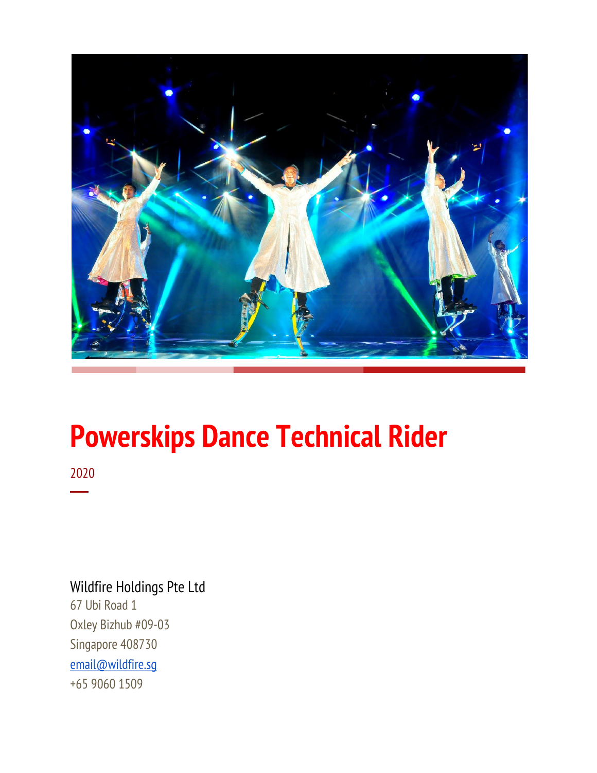

# **Powerskips Dance Technical Rider**

2020 ─

# Wildfire Holdings Pte Ltd 67 Ubi Road 1 Oxley Bizhub #09-03 Singapore 408730 [email@wildfire.sg](mailto:email@wildfire.sg) +65 9060 1509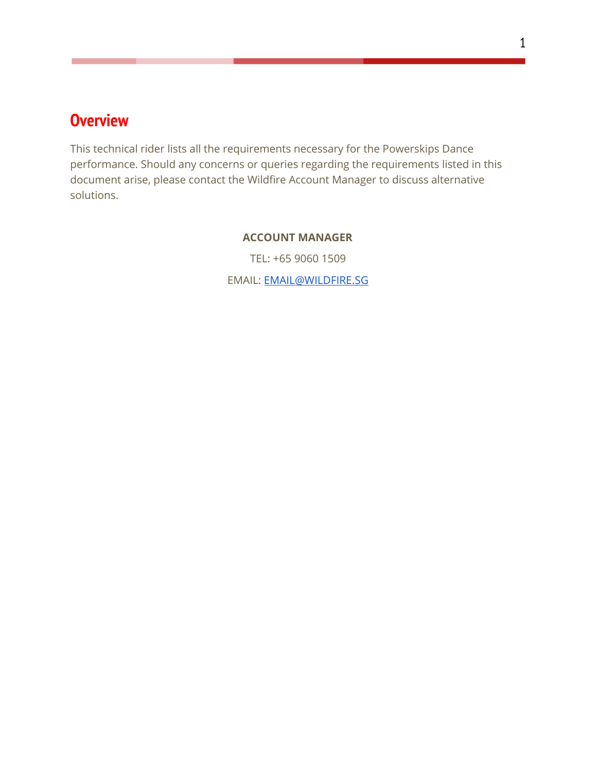# <span id="page-1-0"></span>**Overview**

This technical rider lists all the requirements necessary for the Powerskips Dance performance. Should any concerns or queries regarding the requirements listed in this document arise, please contact the Wildfire Account Manager to discuss alternative solutions.

#### **ACCOUNT MANAGER**

TEL: +65 9060 1509

EMAIL: [EMAIL@WILDFIRE.SG](mailto:EMAIL@WILDFIRE.SG)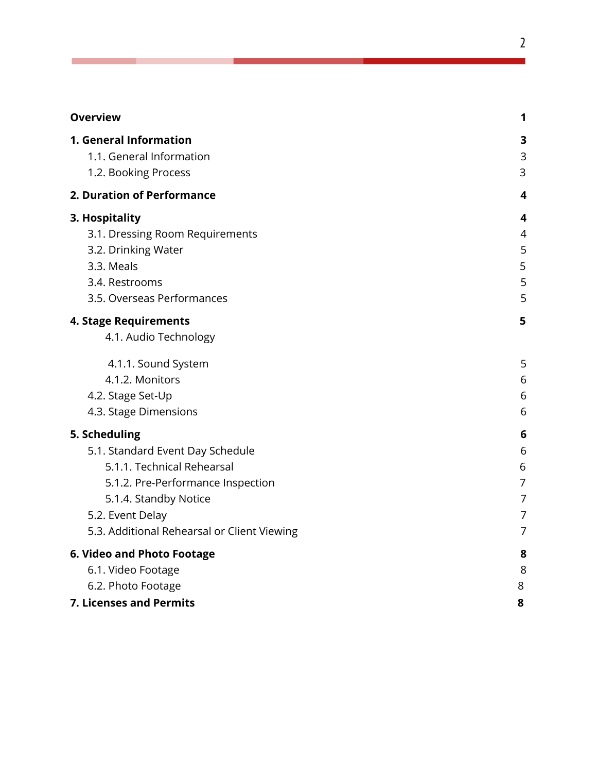| <b>Overview</b>                                | 1              |
|------------------------------------------------|----------------|
| 1. General Information                         | 3              |
| 1.1. General Information                       | 3              |
| 1.2. Booking Process                           | 3              |
| 2. Duration of Performance                     | 4              |
| 3. Hospitality                                 | 4              |
| 3.1. Dressing Room Requirements                | 4              |
| 3.2. Drinking Water                            | 5              |
| 3.3. Meals                                     | 5              |
| 3.4. Restrooms                                 | 5              |
| 3.5. Overseas Performances                     | 5              |
| 4. Stage Requirements<br>4.1. Audio Technology | 5              |
| 4.1.1. Sound System                            | 5              |
| 4.1.2. Monitors                                | 6              |
| 4.2. Stage Set-Up                              | 6              |
| 4.3. Stage Dimensions                          | 6              |
| 5. Scheduling                                  | 6              |
| 5.1. Standard Event Day Schedule               | 6              |
| 5.1.1. Technical Rehearsal                     | 6              |
| 5.1.2. Pre-Performance Inspection              | 7              |
| 5.1.4. Standby Notice                          | $\overline{7}$ |
| 5.2. Event Delay                               | 7              |
| 5.3. Additional Rehearsal or Client Viewing    | $\overline{7}$ |
| 6. Video and Photo Footage                     | 8              |
| 6.1. Video Footage                             | 8              |
| 6.2. Photo Footage                             | 8              |
| 7. Licenses and Permits                        | 8              |

2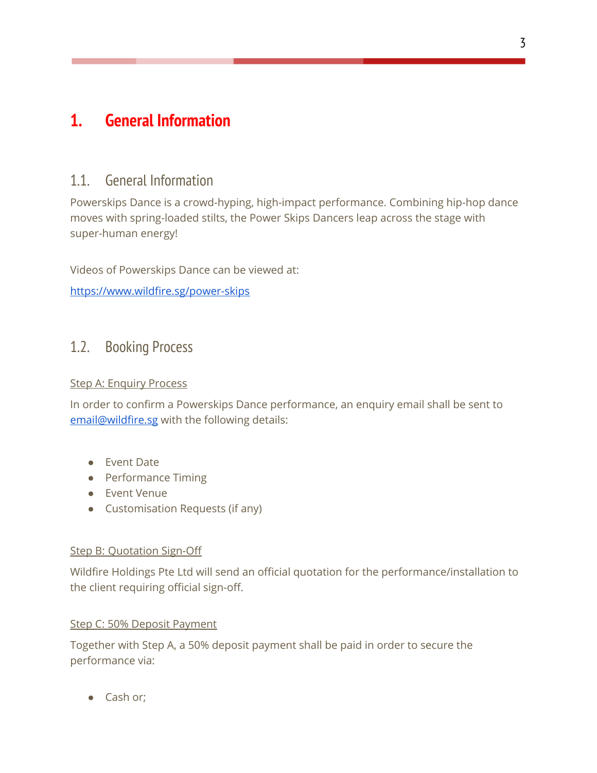# <span id="page-3-1"></span><span id="page-3-0"></span>**1. General Information**

# 1.1. General Information

Powerskips Dance is a crowd-hyping, high-impact performance. Combining hip-hop dance moves with spring-loaded stilts, the Power Skips Dancers leap across the stage with super-human energy!

Videos of Powerskips Dance can be viewed at:

<https://www.wildfire.sg/power-skips>

### <span id="page-3-2"></span>1.2. Booking Process

#### Step A: Enquiry Process

In order to confirm a Powerskips Dance performance, an enquiry email shall be sent to [email@wildfire.sg](mailto:email@wildfire.sg) with the following details:

- Event Date
- Performance Timing
- Event Venue
- Customisation Requests (if any)

#### **Step B: Quotation Sign-Off**

Wildfire Holdings Pte Ltd will send an official quotation for the performance/installation to the client requiring official sign-off.

#### Step C: 50% Deposit Payment

Together with Step A, a 50% deposit payment shall be paid in order to secure the performance via:

● Cash or;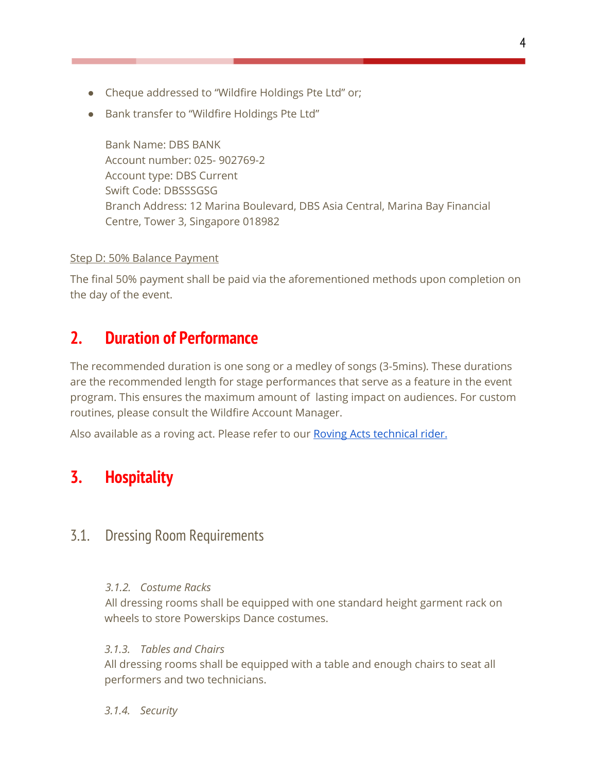- Cheque addressed to "Wildfire Holdings Pte Ltd" or;
- Bank transfer to "Wildfire Holdings Pte Ltd"

Bank Name: DBS BANK Account number: 025- 902769-2 Account type: DBS Current Swift Code: DBSSSGSG Branch Address: 12 Marina Boulevard, DBS Asia Central, Marina Bay Financial Centre, Tower 3, Singapore 018982

#### Step D: 50% Balance Payment

The final 50% payment shall be paid via the aforementioned methods upon completion on the day of the event.

# <span id="page-4-0"></span>**2. Duration of Performance**

The recommended duration is one song or a medley of songs (3-5mins). These durations are the recommended length for stage performances that serve as a feature in the event program. This ensures the maximum amount of lasting impact on audiences. For custom routines, please consult the Wildfire Account Manager.

<span id="page-4-1"></span>Also available as a roving act. Please refer to our Roving Acts [technical](https://docs.wixstatic.com/ugd/7b4044_eae0a524b69548a0999304541b759542.pdf) rider.

# **3. Hospitality**

### <span id="page-4-2"></span>3.1. Dressing Room Requirements

#### *3.1.2. Costume Racks*

All dressing rooms shall be equipped with one standard height garment rack on wheels to store Powerskips Dance costumes.

### *3.1.3. Tables and Chairs*

All dressing rooms shall be equipped with a table and enough chairs to seat all performers and two technicians.

#### *3.1.4. Security*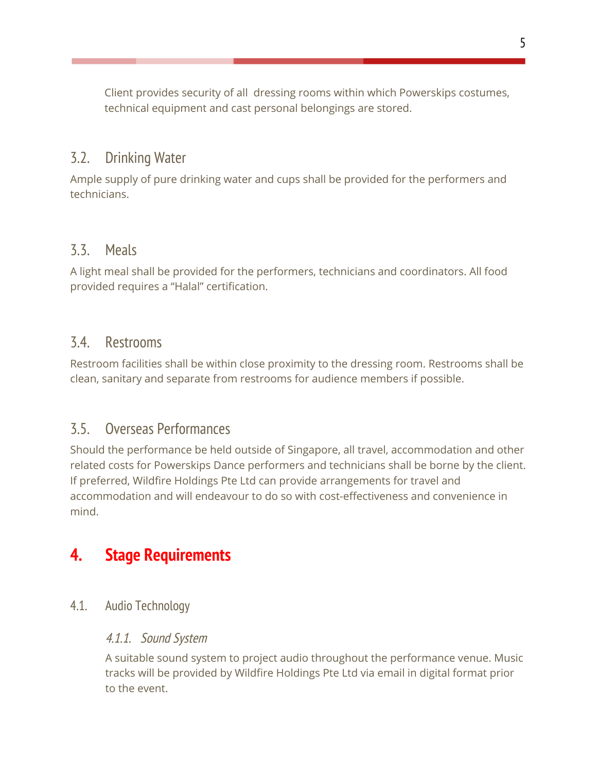Client provides security of all dressing rooms within which Powerskips costumes, technical equipment and cast personal belongings are stored.

### <span id="page-5-0"></span>3.2. Drinking Water

Ample supply of pure drinking water and cups shall be provided for the performers and technicians.

### <span id="page-5-1"></span>3.3. Meals

A light meal shall be provided for the performers, technicians and coordinators. All food provided requires a "Halal" certification.

### <span id="page-5-2"></span>3.4. Restrooms

Restroom facilities shall be within close proximity to the dressing room. Restrooms shall be clean, sanitary and separate from restrooms for audience members if possible.

### <span id="page-5-3"></span>3.5. Overseas Performances

Should the performance be held outside of Singapore, all travel, accommodation and other related costs for Powerskips Dance performers and technicians shall be borne by the client. If preferred, Wildfire Holdings Pte Ltd can provide arrangements for travel and accommodation and will endeavour to do so with cost-effectiveness and convenience in mind.

# <span id="page-5-5"></span><span id="page-5-4"></span>**4. Stage Requirements**

4.1. Audio Technology

### 4.1.1. Sound System

A suitable sound system to project audio throughout the performance venue. Music tracks will be provided by Wildfire Holdings Pte Ltd via email in digital format prior to the event.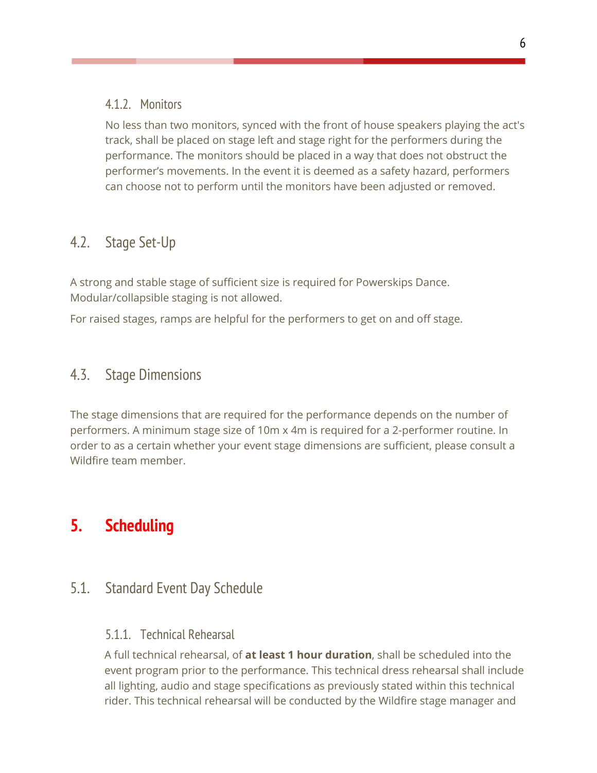### <span id="page-6-0"></span>4.1.2. Monitors

No less than two monitors, synced with the front of house speakers playing the act's track, shall be placed on stage left and stage right for the performers during the performance. The monitors should be placed in a way that does not obstruct the performer's movements. In the event it is deemed as a safety hazard, performers can choose not to perform until the monitors have been adjusted or removed.

# <span id="page-6-1"></span>4.2. Stage Set-Up

A strong and stable stage of sufficient size is required for Powerskips Dance. Modular/collapsible staging is not allowed.

For raised stages, ramps are helpful for the performers to get on and off stage.

## <span id="page-6-2"></span>4.3. Stage Dimensions

The stage dimensions that are required for the performance depends on the number of performers. A minimum stage size of 10m x 4m is required for a 2-performer routine. In order to as a certain whether your event stage dimensions are sufficient, please consult a Wildfire team member.

# <span id="page-6-3"></span>**5. Scheduling**

# <span id="page-6-5"></span><span id="page-6-4"></span>5.1. Standard Event Day Schedule

### 5.1.1. Technical Rehearsal

A full technical rehearsal, of **at least 1 hour duration**, shall be scheduled into the event program prior to the performance. This technical dress rehearsal shall include all lighting, audio and stage specifications as previously stated within this technical rider. This technical rehearsal will be conducted by the Wildfire stage manager and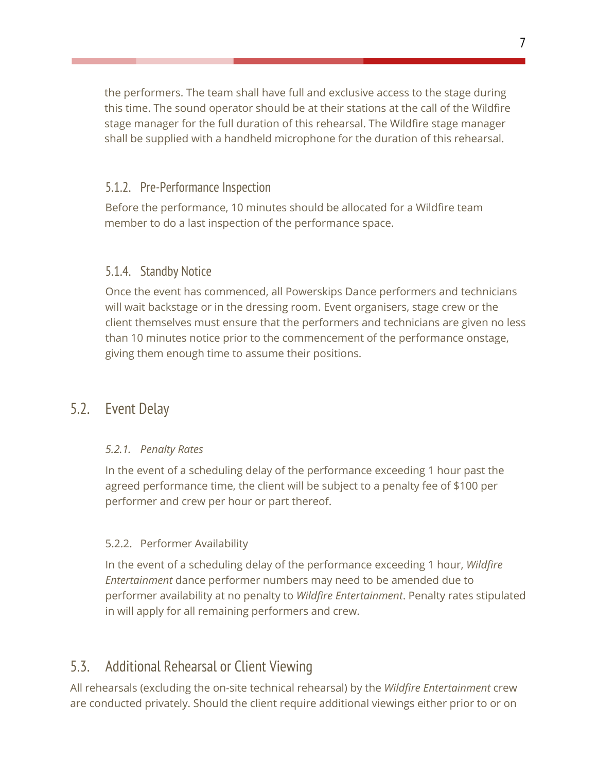the performers. The team shall have full and exclusive access to the stage during this time. The sound operator should be at their stations at the call of the Wildfire stage manager for the full duration of this rehearsal. The Wildfire stage manager shall be supplied with a handheld microphone for the duration of this rehearsal.

### <span id="page-7-0"></span>5.1.2. Pre-Performance Inspection

Before the performance, 10 minutes should be allocated for a Wildfire team member to do a last inspection of the performance space.

### <span id="page-7-1"></span>5.1.4. Standby Notice

Once the event has commenced, all Powerskips Dance performers and technicians will wait backstage or in the dressing room. Event organisers, stage crew or the client themselves must ensure that the performers and technicians are given no less than 10 minutes notice prior to the commencement of the performance onstage, giving them enough time to assume their positions.

### <span id="page-7-2"></span>5.2. Event Delay

### *5.2.1. Penalty Rates*

In the event of a scheduling delay of the performance exceeding 1 hour past the agreed performance time, the client will be subject to a penalty fee of \$100 per performer and crew per hour or part thereof.

### 5.2.2. Performer Availability

In the event of a scheduling delay of the performance exceeding 1 hour, *Wildfire Entertainment* dance performer numbers may need to be amended due to performer availability at no penalty to *Wildfire Entertainment*. Penalty rates stipulated in will apply for all remaining performers and crew.

# <span id="page-7-3"></span>5.3. Additional Rehearsal or Client Viewing

All rehearsals (excluding the on-site technical rehearsal) by the *Wildfire Entertainment* crew are conducted privately. Should the client require additional viewings either prior to or on